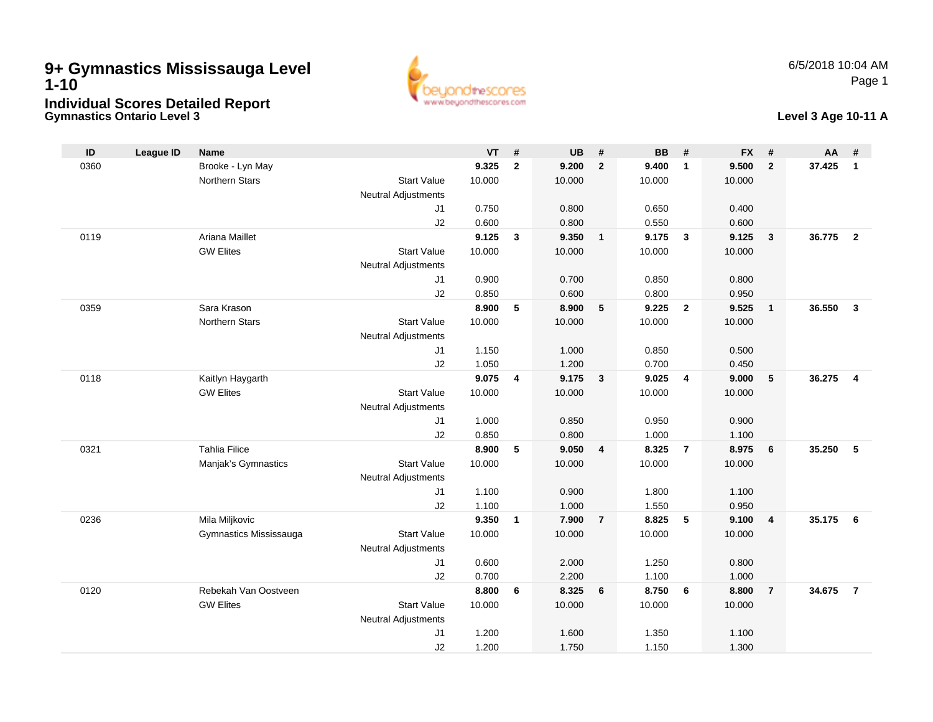# **Gymnastics Ontario Level 39+ Gymnastics Mississauga Level 1-10Individual Scores Detailed Report**



# **Level 3 Age 10-11 A**

| ID   | <b>League ID</b> | <b>Name</b>            |                            | <b>VT</b>      | #            | <b>UB</b>      | #                       | <b>BB</b>      | #                       | <b>FX</b>      | #              | AA     | #                       |
|------|------------------|------------------------|----------------------------|----------------|--------------|----------------|-------------------------|----------------|-------------------------|----------------|----------------|--------|-------------------------|
| 0360 |                  | Brooke - Lyn May       |                            | 9.325          | $\mathbf{2}$ | 9.200          | $\overline{2}$          | 9.400          | $\overline{1}$          | 9.500          | $\overline{2}$ | 37.425 | $\mathbf{1}$            |
|      |                  | Northern Stars         | <b>Start Value</b>         | 10.000         |              | 10.000         |                         | 10.000         |                         | 10.000         |                |        |                         |
|      |                  |                        | <b>Neutral Adjustments</b> |                |              |                |                         |                |                         |                |                |        |                         |
|      |                  |                        | J1                         | 0.750          |              | 0.800          |                         | 0.650          |                         | 0.400          |                |        |                         |
|      |                  |                        | J2                         | 0.600          |              | 0.800          |                         | 0.550          |                         | 0.600          |                |        |                         |
| 0119 |                  | Ariana Maillet         |                            | 9.125          | 3            | 9.350          | $\overline{1}$          | 9.175          | $\overline{\mathbf{3}}$ | 9.125          | $\overline{3}$ | 36.775 | $\overline{2}$          |
|      |                  | <b>GW Elites</b>       | <b>Start Value</b>         | 10.000         |              | 10.000         |                         | 10.000         |                         | 10.000         |                |        |                         |
|      |                  |                        | <b>Neutral Adjustments</b> |                |              |                |                         |                |                         |                |                |        |                         |
|      |                  |                        | J1                         | 0.900          |              | 0.700          |                         | 0.850          |                         | 0.800          |                |        |                         |
|      |                  |                        | J2                         | 0.850          |              | 0.600          |                         | 0.800          |                         | 0.950          |                |        |                         |
| 0359 |                  | Sara Krason            |                            | 8.900          | 5            | 8.900          | $5\phantom{.0}$         | 9.225          | $\overline{2}$          | 9.525          | $\mathbf{1}$   | 36.550 | $\overline{\mathbf{3}}$ |
|      |                  | Northern Stars         | <b>Start Value</b>         | 10.000         |              | 10.000         |                         | 10.000         |                         | 10.000         |                |        |                         |
|      |                  |                        | <b>Neutral Adjustments</b> |                |              |                |                         |                |                         |                |                |        |                         |
|      |                  |                        | J1                         | 1.150          |              | 1.000          |                         | 0.850          |                         | 0.500          |                |        |                         |
| 0118 |                  | Kaitlyn Haygarth       | J2                         | 1.050<br>9.075 | 4            | 1.200<br>9.175 | $\overline{\mathbf{3}}$ | 0.700<br>9.025 | $\overline{4}$          | 0.450<br>9.000 | 5              | 36.275 | $\overline{4}$          |
|      |                  | <b>GW Elites</b>       | <b>Start Value</b>         | 10.000         |              | 10.000         |                         | 10.000         |                         | 10.000         |                |        |                         |
|      |                  |                        | Neutral Adjustments        |                |              |                |                         |                |                         |                |                |        |                         |
|      |                  |                        | J1                         | 1.000          |              | 0.850          |                         | 0.950          |                         | 0.900          |                |        |                         |
|      |                  |                        | J2                         | 0.850          |              | 0.800          |                         | 1.000          |                         | 1.100          |                |        |                         |
| 0321 |                  | <b>Tahlia Filice</b>   |                            | 8.900          | 5            | 9.050          | $\overline{\mathbf{4}}$ | 8.325          | $\overline{7}$          | 8.975          | 6              | 35.250 | 5                       |
|      |                  | Manjak's Gymnastics    | <b>Start Value</b>         | 10.000         |              | 10.000         |                         | 10.000         |                         | 10.000         |                |        |                         |
|      |                  |                        | <b>Neutral Adjustments</b> |                |              |                |                         |                |                         |                |                |        |                         |
|      |                  |                        | J1                         | 1.100          |              | 0.900          |                         | 1.800          |                         | 1.100          |                |        |                         |
|      |                  |                        | J2                         | 1.100          |              | 1.000          |                         | 1.550          |                         | 0.950          |                |        |                         |
| 0236 |                  | Mila Miljkovic         |                            | 9.350          | $\mathbf{1}$ | 7.900          | $\overline{7}$          | 8.825          | 5                       | 9.100          | $\overline{4}$ | 35.175 | - 6                     |
|      |                  | Gymnastics Mississauga | <b>Start Value</b>         | 10.000         |              | 10.000         |                         | 10.000         |                         | 10.000         |                |        |                         |
|      |                  |                        | <b>Neutral Adjustments</b> |                |              |                |                         |                |                         |                |                |        |                         |
|      |                  |                        | J1                         | 0.600          |              | 2.000          |                         | 1.250          |                         | 0.800          |                |        |                         |
|      |                  |                        | J2                         | 0.700          |              | 2.200          |                         | 1.100          |                         | 1.000          |                |        |                         |
| 0120 |                  | Rebekah Van Oostveen   |                            | 8.800          | 6            | 8.325          | 6                       | 8.750          | 6                       | 8.800          | $\overline{7}$ | 34.675 | $\overline{7}$          |
|      |                  | <b>GW Elites</b>       | <b>Start Value</b>         | 10.000         |              | 10.000         |                         | 10.000         |                         | 10.000         |                |        |                         |
|      |                  |                        | Neutral Adjustments        |                |              |                |                         |                |                         |                |                |        |                         |
|      |                  |                        | J1                         | 1.200          |              | 1.600          |                         | 1.350          |                         | 1.100          |                |        |                         |
|      |                  |                        | J2                         | 1.200          |              | 1.750          |                         | 1.150          |                         | 1.300          |                |        |                         |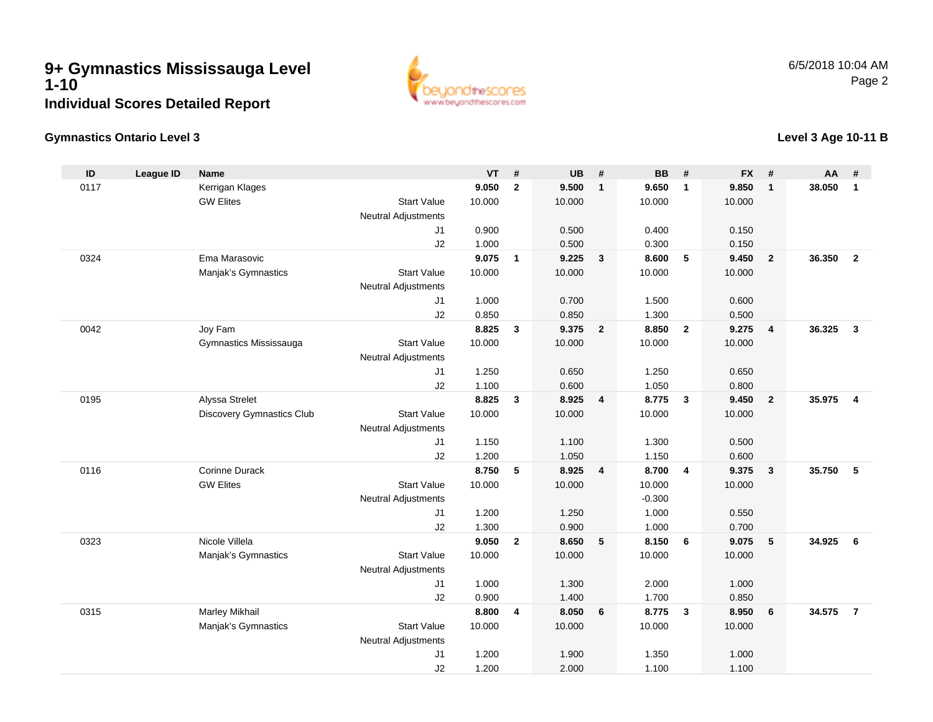

### **Gymnastics Ontario Level 3**

#### **ID League ID Name VT # UB # BB # FX # AA #** 0117 Kerrigan Klages **9.050 <sup>2</sup> 9.500 <sup>1</sup> 9.650 <sup>1</sup> 9.850 <sup>1</sup> 38.050 <sup>1</sup>** GW Elites Start Valuee 10.000 10.000 10.000 10.000 Neutral Adjustments J1 0.900 0.500 0.400 0.150 J2 1.000 0.500 0.300 0.150 0324 Ema Marasovic **9.075 <sup>1</sup> 9.225 <sup>3</sup> 8.600 <sup>5</sup> 9.450 <sup>2</sup> 36.350 <sup>2</sup>** Manjak's Gymnastics Start Valuee 10.000 10.000 10.000 10.000 Neutral Adjustments J1 1.000 0.700 1.500 0.600 J2 0.850 0.850 1.300 0.500 0042 Joy Fam **8.825 <sup>3</sup> 9.375 <sup>2</sup> 8.850 <sup>2</sup> 9.275 <sup>4</sup> 36.325 <sup>3</sup>** Gymnastics Mississauga Start Value 10.000 10.000 10.000 10.000 Neutral Adjustments J1 1.250 0.650 1.250 0.650 J2 1.100 0.600 1.050 0.800 0195 Alyssa Strelet **8.825 <sup>3</sup> 8.925 <sup>4</sup> 8.775 <sup>3</sup> 9.450 <sup>2</sup> 35.975 <sup>4</sup>** Discovery Gymnastics Club Start Value 10.000 10.000 10.000 10.000 Neutral Adjustments J1 1.150 1.100 1.300 0.500 J2 1.200 1.050 1.150 0.600 0116 Corinne Durack **8.750 <sup>5</sup> 8.925 <sup>4</sup> 8.700 <sup>4</sup> 9.375 <sup>3</sup> 35.750 <sup>5</sup>** GW Elites Start Valuee 10.000 10.000 10.000 10.000 Neutral Adjustments $-0.300$ 1.000 J1 1.200 1.250 1.000 0.550 J2 1.300 0.900 1.000 0.700 0323 Nicole Villela **9.050 <sup>2</sup> 8.650 <sup>5</sup> 8.150 <sup>6</sup> 9.075 <sup>5</sup> 34.925 <sup>6</sup>** Manjak's Gymnastics Start Valuee 10.000 10.000 10.000 10.000 Neutral Adjustments J1 1.000 1.300 2.000 1.000 J2 0.900 1.400 1.700 0.850 0315 Marley Mikhail **8.800 <sup>4</sup> 8.050 <sup>6</sup> 8.775 <sup>3</sup> 8.950 <sup>6</sup> 34.575 <sup>7</sup>** Manjak's Gymnastics Start Valuee 10.000 10.000 10.000 10.000 Neutral Adjustments J11.200 1.900 1.350 1.000

J2

1.200 2.000 1.100 1.100

### **Level 3 Age 10-11 B**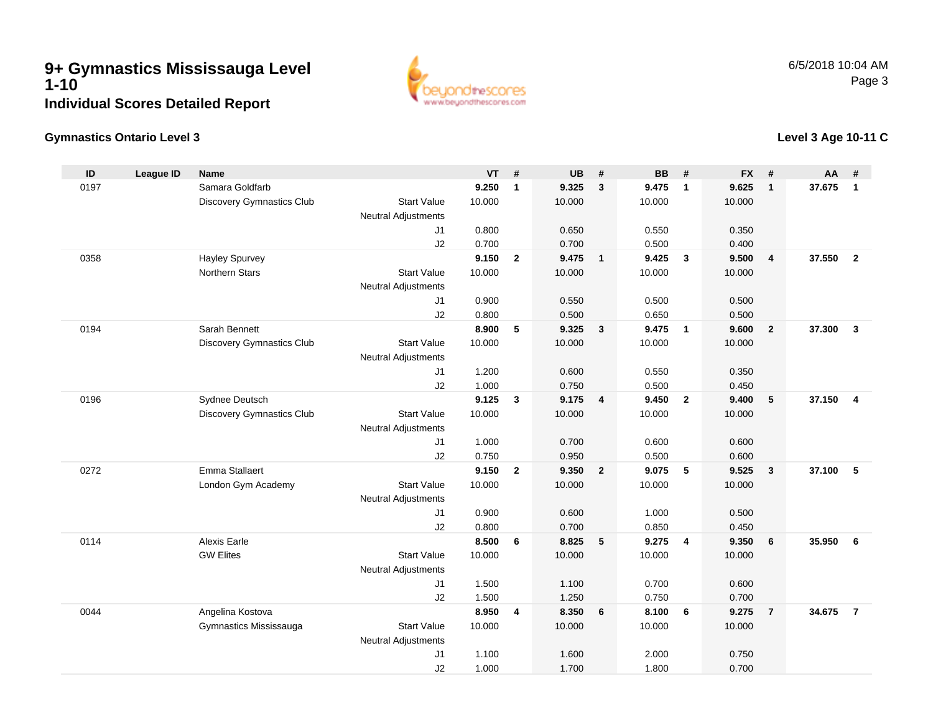

# **Gymnastics Ontario Level 3**

# **Level 3 Age 10-11 C**

| ID   | <b>League ID</b> | <b>Name</b>               |                            | <b>VT</b>      | #              | <b>UB</b>      | #                       | <b>BB</b>      | #              | <b>FX</b>      | #              | AA     | #                       |
|------|------------------|---------------------------|----------------------------|----------------|----------------|----------------|-------------------------|----------------|----------------|----------------|----------------|--------|-------------------------|
| 0197 |                  | Samara Goldfarb           |                            | 9.250          | $\mathbf{1}$   | 9.325          | $\mathbf{3}$            | 9.475          | $\mathbf{1}$   | 9.625          | $\mathbf{1}$   | 37.675 | $\overline{1}$          |
|      |                  | Discovery Gymnastics Club | <b>Start Value</b>         | 10.000         |                | 10.000         |                         | 10.000         |                | 10.000         |                |        |                         |
|      |                  |                           | <b>Neutral Adjustments</b> |                |                |                |                         |                |                |                |                |        |                         |
|      |                  |                           | J <sub>1</sub>             | 0.800          |                | 0.650          |                         | 0.550          |                | 0.350          |                |        |                         |
|      |                  |                           | J2                         | 0.700          |                | 0.700          |                         | 0.500          |                | 0.400          |                |        |                         |
| 0358 |                  | Hayley Spurvey            |                            | 9.150          | $\overline{2}$ | 9.475          | $\overline{1}$          | 9.425          | $\mathbf{3}$   | 9.500          | 4              | 37,550 | $\overline{2}$          |
|      |                  | <b>Northern Stars</b>     | <b>Start Value</b>         | 10.000         |                | 10.000         |                         | 10.000         |                | 10.000         |                |        |                         |
|      |                  |                           | <b>Neutral Adjustments</b> |                |                |                |                         |                |                |                |                |        |                         |
|      |                  |                           | J1                         | 0.900          |                | 0.550          |                         | 0.500          |                | 0.500          |                |        |                         |
|      |                  |                           | J2                         | 0.800          |                | 0.500          |                         | 0.650          |                | 0.500          |                |        |                         |
| 0194 |                  | Sarah Bennett             |                            | 8.900          | 5              | 9.325          | $\mathbf{3}$            | 9.475          | $\mathbf{1}$   | 9.600          | $\overline{2}$ | 37.300 | $\mathbf{3}$            |
|      |                  | Discovery Gymnastics Club | <b>Start Value</b>         | 10.000         |                | 10.000         |                         | 10.000         |                | 10.000         |                |        |                         |
|      |                  |                           | <b>Neutral Adjustments</b> |                |                |                |                         |                |                |                |                |        |                         |
|      |                  |                           | J1                         | 1.200          |                | 0.600          |                         | 0.550          |                | 0.350          |                |        |                         |
|      |                  |                           | J2                         | 1.000          |                | 0.750          |                         | 0.500          |                | 0.450          |                |        |                         |
| 0196 |                  | Sydnee Deutsch            |                            | 9.125          | $\mathbf{3}$   | 9.175          | $\overline{4}$          | 9.450          | $\overline{2}$ | 9.400          | 5              | 37.150 | $\overline{\mathbf{4}}$ |
|      |                  | Discovery Gymnastics Club | <b>Start Value</b>         | 10.000         |                | 10.000         |                         | 10.000         |                | 10.000         |                |        |                         |
|      |                  |                           | <b>Neutral Adjustments</b> |                |                |                |                         |                |                |                |                |        |                         |
|      |                  |                           | J <sub>1</sub>             | 1.000          |                | 0.700          |                         | 0.600          |                | 0.600          |                |        |                         |
| 0272 |                  | Emma Stallaert            | J2                         | 0.750<br>9.150 |                | 0.950          | $\overline{\mathbf{2}}$ | 0.500          |                | 0.600          |                |        |                         |
|      |                  |                           |                            |                | $\overline{2}$ | 9.350          |                         | 9.075          | 5              | 9.525          | $\mathbf{3}$   | 37.100 | 5                       |
|      |                  | London Gym Academy        | <b>Start Value</b>         | 10.000         |                | 10.000         |                         | 10.000         |                | 10.000         |                |        |                         |
|      |                  |                           | <b>Neutral Adjustments</b> |                |                |                |                         |                |                |                |                |        |                         |
|      |                  |                           | J1<br>J2                   | 0.900          |                | 0.600          |                         | 1.000<br>0.850 |                | 0.500          |                |        |                         |
| 0114 |                  | Alexis Earle              |                            | 0.800<br>8.500 | 6              | 0.700<br>8.825 | 5                       | 9.275          | 4              | 0.450<br>9.350 | 6              | 35.950 | 6                       |
|      |                  | <b>GW Elites</b>          | <b>Start Value</b>         | 10.000         |                | 10.000         |                         | 10.000         |                | 10.000         |                |        |                         |
|      |                  |                           | <b>Neutral Adjustments</b> |                |                |                |                         |                |                |                |                |        |                         |
|      |                  |                           | J1                         | 1.500          |                | 1.100          |                         | 0.700          |                | 0.600          |                |        |                         |
|      |                  |                           | J2                         | 1.500          |                | 1.250          |                         | 0.750          |                | 0.700          |                |        |                         |
| 0044 |                  | Angelina Kostova          |                            | 8.950          | $\overline{4}$ | 8.350          | 6                       | 8.100          | 6              | 9.275          | $\overline{7}$ | 34.675 | $\overline{7}$          |
|      |                  | Gymnastics Mississauga    | <b>Start Value</b>         | 10.000         |                | 10.000         |                         | 10.000         |                | 10.000         |                |        |                         |
|      |                  |                           | <b>Neutral Adjustments</b> |                |                |                |                         |                |                |                |                |        |                         |
|      |                  |                           | J <sub>1</sub>             | 1.100          |                | 1.600          |                         | 2.000          |                | 0.750          |                |        |                         |
|      |                  |                           | J2                         | 1.000          |                | 1.700          |                         | 1.800          |                | 0.700          |                |        |                         |
|      |                  |                           |                            |                |                |                |                         |                |                |                |                |        |                         |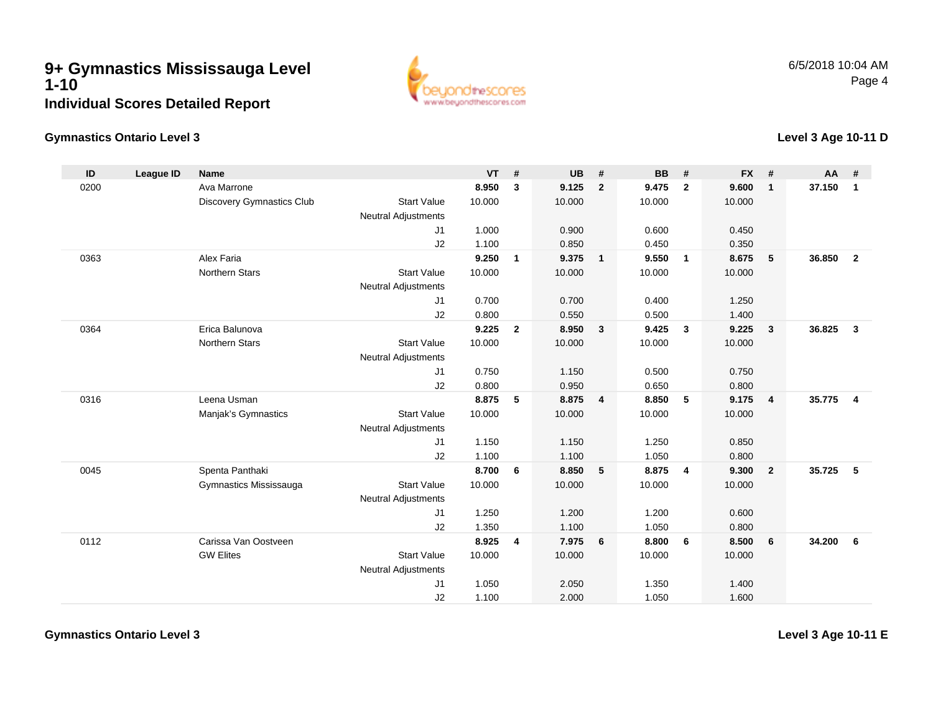

### **Gymnastics Ontario Level 3**

**ID**

0200

0363

0364

0316

0045

0112

#### **League ID Name VT # UB # BB # FX # AA #** Ava Marrone **8.950 <sup>3</sup> 9.125 <sup>2</sup> 9.475 <sup>2</sup> 9.600 <sup>1</sup> 37.150 <sup>1</sup>** Discovery Gymnastics Club Start Value 10.000 10.000 10.000 10.000 Neutral Adjustments J1 1.000 0.900 0.600 0.450 J2 1.100 0.850 0.450 0.350 Alex Faria **9.250 <sup>1</sup> 9.375 <sup>1</sup> 9.550 <sup>1</sup> 8.675 <sup>5</sup> 36.850 <sup>2</sup>** Northern Stars Start Valuee 10.000 10.000 10.000 10.000 Neutral Adjustments J1 0.700 0.700 0.400 1.250 J2 0.800 0.550 0.500 1.400 Erica Balunova **9.225 <sup>2</sup> 8.950 <sup>3</sup> 9.425 <sup>3</sup> 9.225 <sup>3</sup> 36.825 <sup>3</sup>** Northern Stars Start Valuee 10.000 10.000 10.000 10.000 Neutral Adjustments J1 0.750 1.150 0.500 0.750 J2 0.800 0.950 0.650 0.800 Leena Usman **8.875 <sup>5</sup> 8.875 <sup>4</sup> 8.850 <sup>5</sup> 9.175 <sup>4</sup> 35.775 <sup>4</sup>** Manjak's Gymnastics Start Valuee 10.000 10.000 10.000 10.000 Neutral Adjustments J1 1.150 1.150 1.250 0.850 J2 1.100 1.100 1.050 0.800 Spenta Panthaki **8.700 <sup>6</sup> 8.850 <sup>5</sup> 8.875 <sup>4</sup> 9.300 <sup>2</sup> 35.725 <sup>5</sup>** Gymnastics Mississauga Start Value 10.000 10.000 10.000 10.000 Neutral Adjustments J1 1.250 1.200 1.200 0.600 J2 1.350 1.100 1.050 0.800 Carissa Van Oostveen **8.925 <sup>4</sup> 7.975 <sup>6</sup> 8.800 <sup>6</sup> 8.500 <sup>6</sup> 34.200 <sup>6</sup>** GW Elites Start Valuee 10.000 10.000 10.000 10.000 Neutral Adjustments J1 1.050 2.050 1.350 1.400 J2

1.100 2.000 1.050 1.600

**Gymnastics Ontario Level 3**

**Level 3 Age 10-11 E**

**Level 3 Age 10-11 D**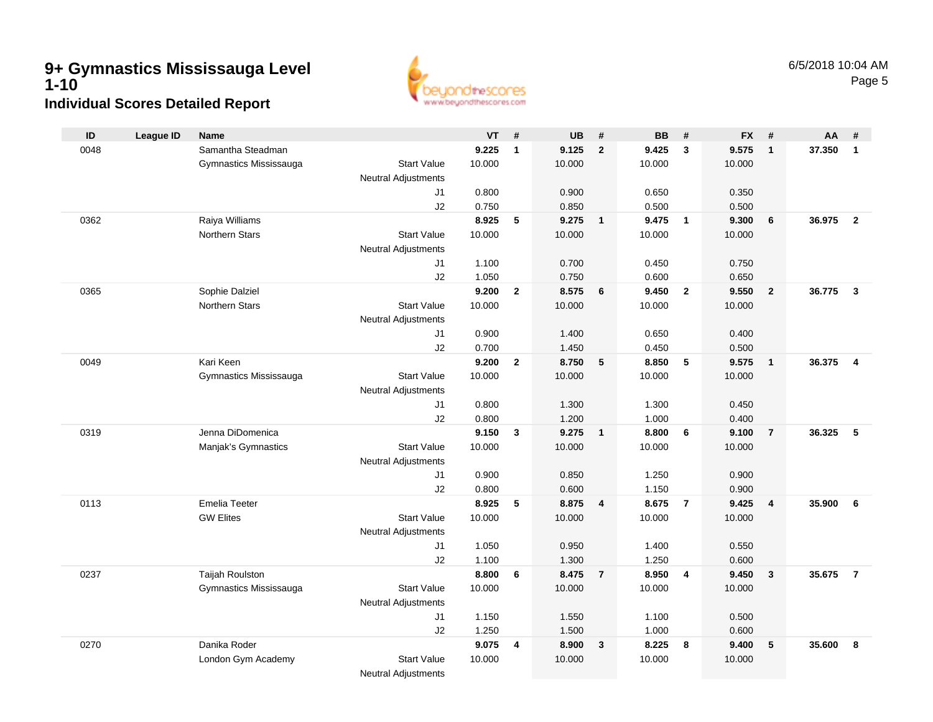

| ID   | <b>League ID</b> | <b>Name</b>            |                            | <b>VT</b> | #              | <b>UB</b> | #              | <b>BB</b> | #              | <b>FX</b> | #                       | AA     | #                       |
|------|------------------|------------------------|----------------------------|-----------|----------------|-----------|----------------|-----------|----------------|-----------|-------------------------|--------|-------------------------|
| 0048 |                  | Samantha Steadman      |                            | 9.225     | $\mathbf{1}$   | 9.125     | $\overline{2}$ | 9.425     | $\mathbf{3}$   | 9.575     | $\mathbf{1}$            | 37.350 | $\mathbf{1}$            |
|      |                  | Gymnastics Mississauga | <b>Start Value</b>         | 10.000    |                | 10.000    |                | 10.000    |                | 10.000    |                         |        |                         |
|      |                  |                        | <b>Neutral Adjustments</b> |           |                |           |                |           |                |           |                         |        |                         |
|      |                  |                        | J1                         | 0.800     |                | 0.900     |                | 0.650     |                | 0.350     |                         |        |                         |
|      |                  |                        | J2                         | 0.750     |                | 0.850     |                | 0.500     |                | 0.500     |                         |        |                         |
| 0362 |                  | Raiya Williams         |                            | 8.925     | 5              | 9.275     | $\overline{1}$ | 9.475     | $\overline{1}$ | 9.300     | 6                       | 36.975 | $\overline{2}$          |
|      |                  | <b>Northern Stars</b>  | <b>Start Value</b>         | 10.000    |                | 10.000    |                | 10.000    |                | 10.000    |                         |        |                         |
|      |                  |                        | <b>Neutral Adjustments</b> |           |                |           |                |           |                |           |                         |        |                         |
|      |                  |                        | J1                         | 1.100     |                | 0.700     |                | 0.450     |                | 0.750     |                         |        |                         |
|      |                  |                        | J2                         | 1.050     |                | 0.750     |                | 0.600     |                | 0.650     |                         |        |                         |
| 0365 |                  | Sophie Dalziel         |                            | 9.200     | $\overline{2}$ | 8.575     | 6              | 9.450     | $\overline{2}$ | 9.550     | $\overline{2}$          | 36.775 | $\mathbf{3}$            |
|      |                  | <b>Northern Stars</b>  | <b>Start Value</b>         | 10.000    |                | 10.000    |                | 10.000    |                | 10.000    |                         |        |                         |
|      |                  |                        | <b>Neutral Adjustments</b> |           |                |           |                |           |                |           |                         |        |                         |
|      |                  |                        | J1                         | 0.900     |                | 1.400     |                | 0.650     |                | 0.400     |                         |        |                         |
|      |                  |                        | J2                         | 0.700     |                | 1.450     |                | 0.450     |                | 0.500     |                         |        |                         |
| 0049 |                  | Kari Keen              |                            | 9.200     | $\overline{2}$ | 8.750     | 5              | 8.850     | 5              | 9.575     | $\overline{1}$          | 36.375 | $\overline{\mathbf{4}}$ |
|      |                  | Gymnastics Mississauga | <b>Start Value</b>         | 10.000    |                | 10.000    |                | 10.000    |                | 10.000    |                         |        |                         |
|      |                  |                        | <b>Neutral Adjustments</b> |           |                |           |                |           |                |           |                         |        |                         |
|      |                  |                        | J1                         | 0.800     |                | 1.300     |                | 1.300     |                | 0.450     |                         |        |                         |
|      |                  |                        | J2                         | 0.800     |                | 1.200     |                | 1.000     |                | 0.400     |                         |        |                         |
| 0319 |                  | Jenna DiDomenica       |                            | 9.150     | 3              | 9.275     | $\overline{1}$ | 8.800     | 6              | 9.100     | $\overline{7}$          | 36.325 | 5                       |
|      |                  | Manjak's Gymnastics    | <b>Start Value</b>         | 10.000    |                | 10.000    |                | 10.000    |                | 10.000    |                         |        |                         |
|      |                  |                        | <b>Neutral Adjustments</b> |           |                |           |                |           |                |           |                         |        |                         |
|      |                  |                        | J1                         | 0.900     |                | 0.850     |                | 1.250     |                | 0.900     |                         |        |                         |
|      |                  |                        | J2                         | 0.800     |                | 0.600     |                | 1.150     |                | 0.900     |                         |        |                         |
| 0113 |                  | <b>Emelia Teeter</b>   |                            | 8.925     | 5              | 8.875     | 4              | 8.675     | $\overline{7}$ | 9.425     | $\overline{4}$          | 35.900 | 6                       |
|      |                  | <b>GW Elites</b>       | <b>Start Value</b>         | 10.000    |                | 10.000    |                | 10.000    |                | 10.000    |                         |        |                         |
|      |                  |                        | Neutral Adjustments        |           |                |           |                |           |                |           |                         |        |                         |
|      |                  |                        | J1                         | 1.050     |                | 0.950     |                | 1.400     |                | 0.550     |                         |        |                         |
|      |                  |                        | J2                         | 1.100     |                | 1.300     |                | 1.250     |                | 0.600     |                         |        |                         |
| 0237 |                  | Taijah Roulston        |                            | 8.800     | 6              | 8.475     | $\overline{7}$ | 8.950     | $\overline{4}$ | 9.450     | $\overline{\mathbf{3}}$ | 35.675 | $\overline{7}$          |
|      |                  | Gymnastics Mississauga | <b>Start Value</b>         | 10.000    |                | 10.000    |                | 10.000    |                | 10.000    |                         |        |                         |
|      |                  |                        | <b>Neutral Adjustments</b> |           |                |           |                |           |                |           |                         |        |                         |
|      |                  |                        | J1                         | 1.150     |                | 1.550     |                | 1.100     |                | 0.500     |                         |        |                         |
|      |                  |                        | J2                         | 1.250     |                | 1.500     |                | 1.000     |                | 0.600     |                         |        |                         |
| 0270 |                  | Danika Roder           |                            | 9.075     | 4              | 8.900     | $\mathbf{3}$   | 8.225     | 8              | 9.400     | 5                       | 35.600 | 8                       |
|      |                  | London Gym Academy     | <b>Start Value</b>         | 10.000    |                | 10.000    |                | 10.000    |                | 10.000    |                         |        |                         |
|      |                  |                        | <b>Neutral Adjustments</b> |           |                |           |                |           |                |           |                         |        |                         |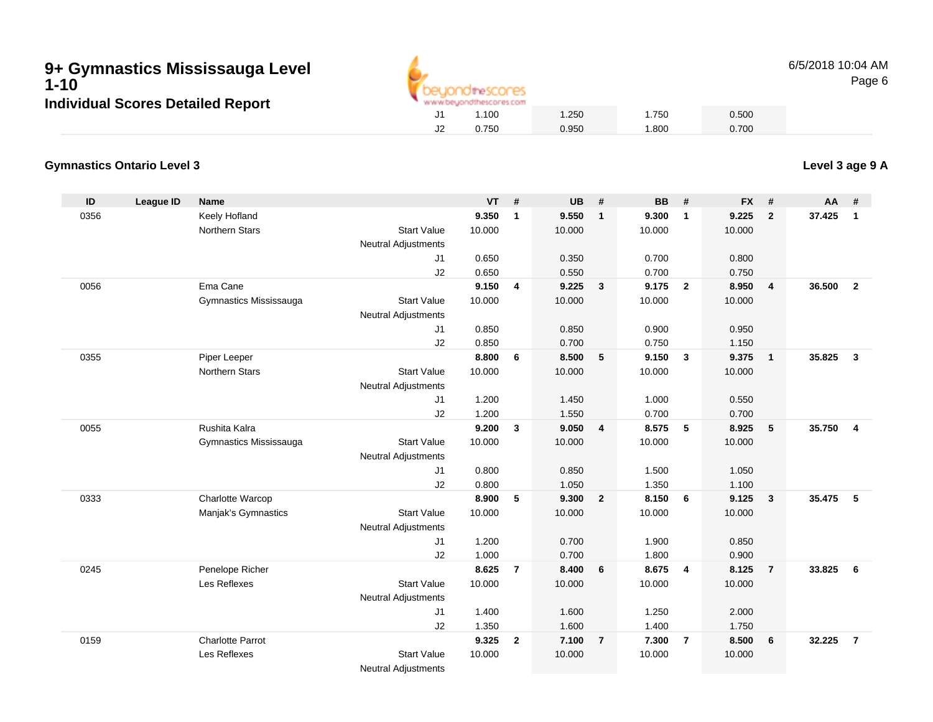

6/5/2018 10:04 AMPage 6

#### **Gymnastics Ontario Level 3Level 3 age 9 A**

| ID   | <b>League ID</b> | <b>Name</b>                     |                                              | <b>VT</b>       | #                       | <b>UB</b>       | #                       | <b>BB</b>       | #              | <b>FX</b>       | #              | <b>AA</b> | #              |
|------|------------------|---------------------------------|----------------------------------------------|-----------------|-------------------------|-----------------|-------------------------|-----------------|----------------|-----------------|----------------|-----------|----------------|
| 0356 |                  | Keely Hofland                   |                                              | 9.350           | $\mathbf{1}$            | 9.550           | $\mathbf{1}$            | 9.300           | $\mathbf{1}$   | 9.225           | $\mathbf{2}$   | 37.425    | $\mathbf{1}$   |
|      |                  | <b>Northern Stars</b>           | <b>Start Value</b>                           | 10.000          |                         | 10.000          |                         | 10.000          |                | 10.000          |                |           |                |
|      |                  |                                 | <b>Neutral Adjustments</b>                   |                 |                         |                 |                         |                 |                |                 |                |           |                |
|      |                  |                                 | J <sub>1</sub>                               | 0.650           |                         | 0.350           |                         | 0.700           |                | 0.800           |                |           |                |
|      |                  |                                 | J2                                           | 0.650           |                         | 0.550           |                         | 0.700           |                | 0.750           |                |           |                |
| 0056 |                  | Ema Cane                        |                                              | 9.150           | $\overline{\mathbf{4}}$ | 9.225           | $\overline{\mathbf{3}}$ | 9.175           | $\overline{2}$ | 8.950           | 4              | 36.500    | $\overline{2}$ |
|      |                  | Gymnastics Mississauga          | <b>Start Value</b>                           | 10.000          |                         | 10.000          |                         | 10.000          |                | 10.000          |                |           |                |
|      |                  |                                 | <b>Neutral Adjustments</b>                   |                 |                         |                 |                         |                 |                |                 |                |           |                |
|      |                  |                                 | J1                                           | 0.850           |                         | 0.850           |                         | 0.900           |                | 0.950           |                |           |                |
|      |                  |                                 | J2                                           | 0.850           |                         | 0.700           |                         | 0.750           |                | 1.150           |                |           |                |
| 0355 |                  | Piper Leeper                    |                                              | 8.800           | 6                       | 8.500           | $-5$                    | 9.150           | $\mathbf{3}$   | 9.375           | $\mathbf{1}$   | 35.825    | $\mathbf{3}$   |
|      |                  | <b>Northern Stars</b>           | <b>Start Value</b>                           | 10.000          |                         | 10.000          |                         | 10.000          |                | 10.000          |                |           |                |
|      |                  |                                 | <b>Neutral Adjustments</b>                   |                 |                         |                 |                         |                 |                |                 |                |           |                |
|      |                  |                                 | J1                                           | 1.200           |                         | 1.450           |                         | 1.000           |                | 0.550           |                |           |                |
|      |                  |                                 | J2                                           | 1.200           |                         | 1.550           |                         | 0.700           |                | 0.700           |                |           |                |
| 0055 |                  | Rushita Kalra                   |                                              | 9.200           | $\mathbf{3}$            | 9.050           | $\overline{4}$          | 8.575           | -5             | 8.925           | 5              | 35.750    | $\overline{4}$ |
|      |                  | Gymnastics Mississauga          | <b>Start Value</b>                           | 10.000          |                         | 10.000          |                         | 10.000          |                | 10.000          |                |           |                |
|      |                  |                                 | <b>Neutral Adjustments</b>                   |                 |                         |                 |                         |                 |                |                 |                |           |                |
|      |                  |                                 | J1                                           | 0.800           |                         | 0.850           |                         | 1.500           |                | 1.050           |                |           |                |
|      |                  |                                 | J2                                           | 0.800           |                         | 1.050           |                         | 1.350           |                | 1.100           |                |           |                |
| 0333 |                  | Charlotte Warcop                |                                              | 8.900           | 5                       | 9.300           | $\overline{\mathbf{2}}$ | 8.150           | 6              | 9.125           | 3              | 35.475    | 5              |
|      |                  | Manjak's Gymnastics             | <b>Start Value</b>                           | 10.000          |                         | 10.000          |                         | 10.000          |                | 10.000          |                |           |                |
|      |                  |                                 | <b>Neutral Adjustments</b>                   |                 |                         |                 |                         |                 |                |                 |                |           |                |
|      |                  |                                 | J1                                           | 1.200           |                         | 0.700           |                         | 1.900           |                | 0.850           |                |           |                |
|      |                  |                                 | J2                                           | 1.000           | $\overline{7}$          | 0.700           | 6                       | 1.800           |                | 0.900           |                | 33.825    |                |
| 0245 |                  | Penelope Richer<br>Les Reflexes | <b>Start Value</b>                           | 8.625<br>10.000 |                         | 8.400<br>10.000 |                         | 8.675<br>10.000 | $\overline{4}$ | 8.125<br>10.000 | $\overline{7}$ |           | 6              |
|      |                  |                                 |                                              |                 |                         |                 |                         |                 |                |                 |                |           |                |
|      |                  |                                 | <b>Neutral Adjustments</b><br>J <sub>1</sub> | 1.400           |                         | 1.600           |                         | 1.250           |                | 2.000           |                |           |                |
|      |                  |                                 | J2                                           | 1.350           |                         | 1.600           |                         | 1.400           |                | 1.750           |                |           |                |
| 0159 |                  | <b>Charlotte Parrot</b>         |                                              | 9.325           | $\overline{2}$          | 7.100           | $\overline{7}$          | 7.300           | $\overline{7}$ | 8.500           | 6              | 32.225    | $\overline{7}$ |
|      |                  |                                 |                                              |                 |                         |                 |                         |                 |                |                 |                |           |                |
|      |                  | Les Reflexes                    | <b>Start Value</b>                           | 10.000          |                         | 10.000          |                         | 10.000          |                | 10.000          |                |           |                |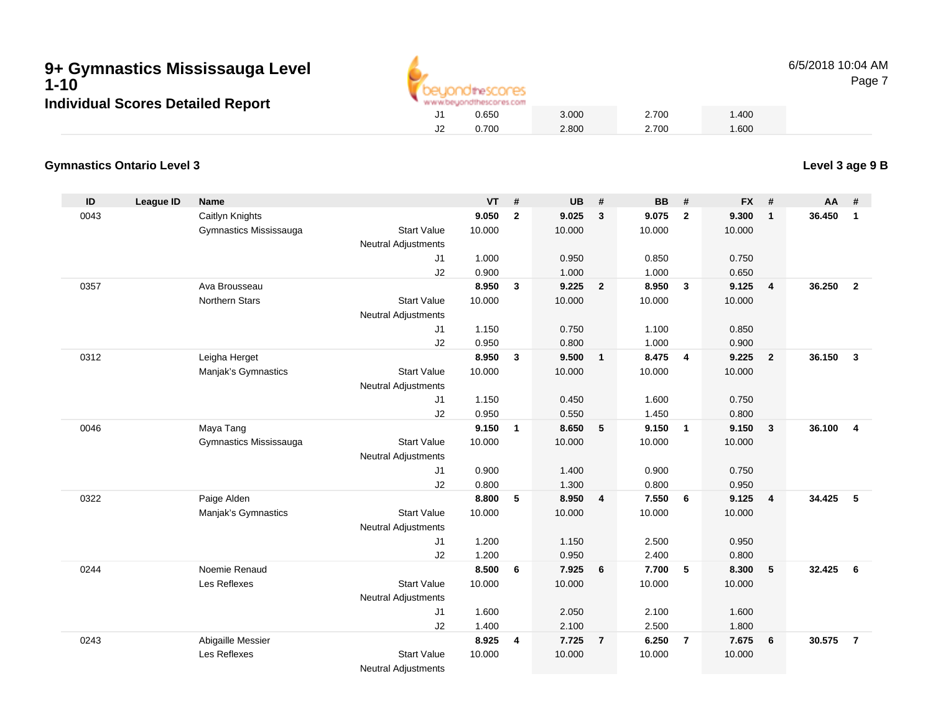

6/5/2018 10:04 AM

# Page 7

#### **Gymnastics Ontario Level 3Level 3 age 9 B**

| ID   | League ID | Name                   |                                                  | <b>VT</b> | #               | <b>UB</b> | #                       | <b>BB</b> | #                       | <b>FX</b> | #                       | AA     | #                        |
|------|-----------|------------------------|--------------------------------------------------|-----------|-----------------|-----------|-------------------------|-----------|-------------------------|-----------|-------------------------|--------|--------------------------|
| 0043 |           | Caitlyn Knights        |                                                  | 9.050     | $\overline{2}$  | 9.025     | $\overline{\mathbf{3}}$ | 9.075     | $\overline{\mathbf{2}}$ | 9.300     | $\mathbf{1}$            | 36.450 | $\mathbf{1}$             |
|      |           | Gymnastics Mississauga | <b>Start Value</b><br><b>Neutral Adjustments</b> | 10.000    |                 | 10.000    |                         | 10.000    |                         | 10.000    |                         |        |                          |
|      |           |                        | J <sub>1</sub>                                   | 1.000     |                 | 0.950     |                         | 0.850     |                         | 0.750     |                         |        |                          |
|      |           |                        | J2                                               | 0.900     |                 | 1.000     |                         | 1.000     |                         | 0.650     |                         |        |                          |
| 0357 |           | Ava Brousseau          |                                                  | 8.950     | $\mathbf{3}$    | 9.225     | $\overline{2}$          | 8.950     | $\mathbf{3}$            | 9.125     | 4                       | 36.250 | $\overline{2}$           |
|      |           | <b>Northern Stars</b>  | <b>Start Value</b><br><b>Neutral Adjustments</b> | 10.000    |                 | 10.000    |                         | 10.000    |                         | 10.000    |                         |        |                          |
|      |           |                        | J1                                               | 1.150     |                 | 0.750     |                         | 1.100     |                         | 0.850     |                         |        |                          |
|      |           |                        | J2                                               | 0.950     |                 | 0.800     |                         | 1.000     |                         | 0.900     |                         |        |                          |
| 0312 |           | Leigha Herget          |                                                  | 8.950     | $\mathbf{3}$    | 9.500     | $\overline{\mathbf{1}}$ | 8.475     | $\overline{\mathbf{4}}$ | 9.225     | $\mathbf{2}$            | 36.150 | $\mathbf{3}$             |
|      |           | Manjak's Gymnastics    | <b>Start Value</b>                               | 10.000    |                 | 10.000    |                         | 10.000    |                         | 10.000    |                         |        |                          |
|      |           |                        | <b>Neutral Adjustments</b>                       |           |                 |           |                         |           |                         |           |                         |        |                          |
|      |           |                        | J1                                               | 1.150     |                 | 0.450     |                         | 1.600     |                         | 0.750     |                         |        |                          |
|      |           |                        | J2                                               | 0.950     |                 | 0.550     |                         | 1.450     |                         | 0.800     |                         |        |                          |
| 0046 |           | Maya Tang              |                                                  | 9.150     | $\overline{1}$  | 8.650     | 5                       | 9.150     | $\mathbf{1}$            | 9.150     | 3                       | 36.100 | $\overline{4}$           |
|      |           | Gymnastics Mississauga | <b>Start Value</b><br><b>Neutral Adjustments</b> | 10.000    |                 | 10.000    |                         | 10.000    |                         | 10.000    |                         |        |                          |
|      |           |                        | J1                                               | 0.900     |                 | 1.400     |                         | 0.900     |                         | 0.750     |                         |        |                          |
|      |           |                        | J2                                               | 0.800     |                 | 1.300     |                         | 0.800     |                         | 0.950     |                         |        |                          |
| 0322 |           | Paige Alden            |                                                  | 8.800     | $5\phantom{.0}$ | 8.950     | $\overline{4}$          | 7.550     | 6                       | 9.125     | $\overline{\mathbf{4}}$ | 34.425 | $\overline{\phantom{0}}$ |
|      |           | Manjak's Gymnastics    | <b>Start Value</b>                               | 10.000    |                 | 10.000    |                         | 10.000    |                         | 10.000    |                         |        |                          |
|      |           |                        | <b>Neutral Adjustments</b>                       |           |                 |           |                         |           |                         |           |                         |        |                          |
|      |           |                        | J <sub>1</sub>                                   | 1.200     |                 | 1.150     |                         | 2.500     |                         | 0.950     |                         |        |                          |
|      |           |                        | J2                                               | 1.200     |                 | 0.950     |                         | 2.400     |                         | 0.800     |                         |        |                          |
| 0244 |           | Noemie Renaud          |                                                  | 8.500     | 6               | 7.925     | 6                       | 7.700     | 5                       | 8.300     | 5                       | 32.425 | $6\overline{6}$          |
|      |           | Les Reflexes           | <b>Start Value</b>                               | 10.000    |                 | 10.000    |                         | 10.000    |                         | 10.000    |                         |        |                          |
|      |           |                        | <b>Neutral Adjustments</b>                       |           |                 |           |                         |           |                         |           |                         |        |                          |
|      |           |                        | J1                                               | 1.600     |                 | 2.050     |                         | 2.100     |                         | 1.600     |                         |        |                          |
|      |           |                        | J2                                               | 1.400     |                 | 2.100     |                         | 2.500     |                         | 1.800     |                         |        |                          |
| 0243 |           | Abigaille Messier      |                                                  | 8.925     | $\overline{4}$  | 7.725     | $\overline{7}$          | 6.250     | $\overline{7}$          | 7.675     | 6                       | 30.575 | $\overline{7}$           |
|      |           | Les Reflexes           | <b>Start Value</b>                               | 10.000    |                 | 10.000    |                         | 10.000    |                         | 10.000    |                         |        |                          |
|      |           |                        | <b>Neutral Adjustments</b>                       |           |                 |           |                         |           |                         |           |                         |        |                          |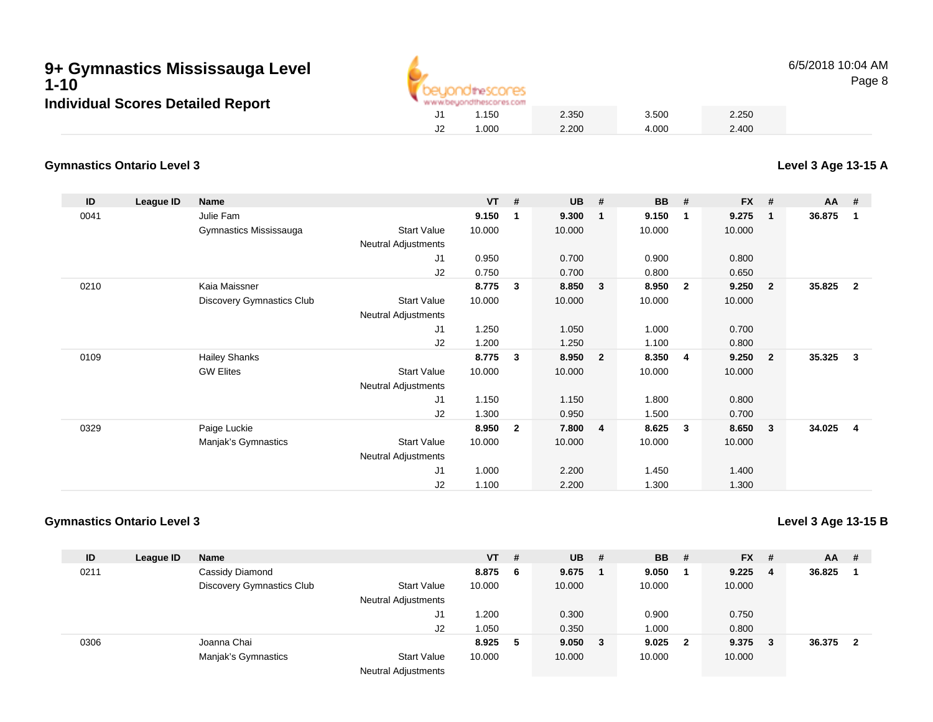

6/5/2018 10:04 AMPage 8

### **Gymnastics Ontario Level 3**

**ID League ID Name VT # UB # BB # FX # AA #** 0041 Julie Fam **9.150 <sup>1</sup> 9.300 <sup>1</sup> 9.150 <sup>1</sup> 9.275 <sup>1</sup> 36.875 <sup>1</sup>** Gymnastics Mississauga Start Value 10.000 10.000 10.000 10.000 Neutral Adjustments J1 0.950 0.700 0.900 0.800 J2 0.750 0.700 0.800 0.650 0210 Kaia Maissner **8.775 <sup>3</sup> 8.850 <sup>3</sup> 8.950 <sup>2</sup> 9.250 <sup>2</sup> 35.825 <sup>2</sup>** Discovery Gymnastics Club Start Value 10.000 10.000 10.000 10.000 Neutral Adjustments J1 1.250 1.050 1.000 0.700 J2 1.200 1.250 1.100 0.800 0109 Hailey Shanks **8.775 <sup>3</sup> 8.950 <sup>2</sup> 8.350 <sup>4</sup> 9.250 <sup>2</sup> 35.325 <sup>3</sup>** GW Elites Start Valuee 10.000 10.000 10.000 10.000 Neutral Adjustments J1 1.150 1.150 1.800 0.800 J2 1.300 0.950 1.500 0.700 0329 Paige Luckie **8.950 <sup>2</sup> 7.800 <sup>4</sup> 8.625 <sup>3</sup> 8.650 <sup>3</sup> 34.025 <sup>4</sup>** Manjak's Gymnastics Start Valuee 10.000 10.000 10.000 10.000 Neutral Adjustments J1 1.000 2.200 1.450 1.400 J21.100 2.200 1.300 1.300

### **Gymnastics Ontario Level 3**

**Level 3 Age 13-15 B**

| ID   | League ID | <b>Name</b>                      |                                           | $VT$ # |     | $UB$ #  | <b>BB</b> | - #                     | <b>FX</b> | -# | <b>AA</b> | # |
|------|-----------|----------------------------------|-------------------------------------------|--------|-----|---------|-----------|-------------------------|-----------|----|-----------|---|
| 0211 |           | Cassidy Diamond                  |                                           | 8.875  | - 6 | 9.675   | 9.050     |                         | 9.225     | 4  | 36.825    |   |
|      |           | <b>Discovery Gymnastics Club</b> | <b>Start Value</b>                        | 10.000 |     | 10.000  | 10.000    |                         | 10.000    |    |           |   |
|      |           |                                  | <b>Neutral Adjustments</b>                |        |     |         |           |                         |           |    |           |   |
|      |           |                                  | J1                                        | .200   |     | 0.300   | 0.900     |                         | 0.750     |    |           |   |
|      |           |                                  | J <sub>2</sub>                            | 1.050  |     | 0.350   | 1.000     |                         | 0.800     |    |           |   |
| 0306 |           | Joanna Chai                      |                                           | 8.925  | 5   | 9.050 3 | 9.025     | $\overline{\mathbf{2}}$ | 9.375     | 3  | 36.375    |   |
|      |           | Manjak's Gymnastics              | <b>Start Value</b>                        | 10.000 |     | 10.000  | 10.000    |                         | 10.000    |    |           |   |
|      |           |                                  | <b>Alla consult And Security and alla</b> |        |     |         |           |                         |           |    |           |   |

Neutral Adjustments

**Level 3 Age 13-15 A**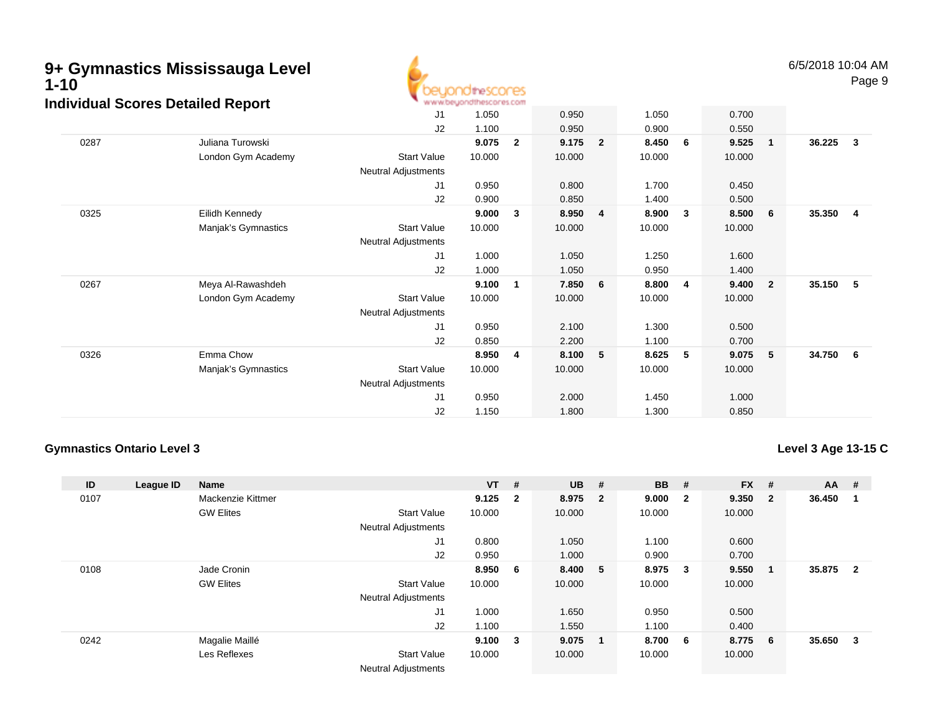

6/5/2018 10:04 AMPage 9

| dividual occides Detailed Report |                     |                     |        |                |        |                |        |                |        |                         |        |              |
|----------------------------------|---------------------|---------------------|--------|----------------|--------|----------------|--------|----------------|--------|-------------------------|--------|--------------|
|                                  |                     | J1                  | 1.050  |                | 0.950  |                | 1.050  |                | 0.700  |                         |        |              |
|                                  |                     | J2                  | 1.100  |                | 0.950  |                | 0.900  |                | 0.550  |                         |        |              |
| 0287                             | Juliana Turowski    |                     | 9.075  | $\overline{2}$ | 9.175  | $\overline{2}$ | 8.450  | - 6            | 9.525  | $\mathbf{1}$            | 36.225 | $\mathbf{3}$ |
|                                  | London Gym Academy  | <b>Start Value</b>  | 10.000 |                | 10.000 |                | 10.000 |                | 10.000 |                         |        |              |
|                                  |                     | Neutral Adjustments |        |                |        |                |        |                |        |                         |        |              |
|                                  |                     | J1                  | 0.950  |                | 0.800  |                | 1.700  |                | 0.450  |                         |        |              |
|                                  |                     | J2                  | 0.900  |                | 0.850  |                | 1.400  |                | 0.500  |                         |        |              |
| 0325                             | Eilidh Kennedy      |                     | 9.000  | 3              | 8.950  | -4             | 8.900  | $\mathbf{3}$   | 8.500  | - 6                     | 35.350 | 4            |
|                                  | Manjak's Gymnastics | <b>Start Value</b>  | 10.000 |                | 10.000 |                | 10.000 |                | 10.000 |                         |        |              |
|                                  |                     | Neutral Adjustments |        |                |        |                |        |                |        |                         |        |              |
|                                  |                     | J1                  | 1.000  |                | 1.050  |                | 1.250  |                | 1.600  |                         |        |              |
|                                  |                     | J2                  | 1.000  |                | 1.050  |                | 0.950  |                | 1.400  |                         |        |              |
| 0267                             | Meya Al-Rawashdeh   |                     | 9.100  | 1              | 7.850  | 6              | 8.800  | $\overline{4}$ | 9.400  | $\overline{\mathbf{2}}$ | 35.150 | 5            |
|                                  | London Gym Academy  | <b>Start Value</b>  | 10.000 |                | 10.000 |                | 10.000 |                | 10.000 |                         |        |              |
|                                  |                     | Neutral Adjustments |        |                |        |                |        |                |        |                         |        |              |
|                                  |                     | J1                  | 0.950  |                | 2.100  |                | 1.300  |                | 0.500  |                         |        |              |
|                                  |                     | J2                  | 0.850  |                | 2.200  |                | 1.100  |                | 0.700  |                         |        |              |
| 0326                             | Emma Chow           |                     | 8.950  | 4              | 8.100  | 5              | 8.625  | - 5            | 9.075  | 5                       | 34.750 | -6           |
|                                  | Manjak's Gymnastics | <b>Start Value</b>  | 10.000 |                | 10.000 |                | 10.000 |                | 10.000 |                         |        |              |
|                                  |                     | Neutral Adjustments |        |                |        |                |        |                |        |                         |        |              |
|                                  |                     | J1                  | 0.950  |                | 2.000  |                | 1.450  |                | 1.000  |                         |        |              |
|                                  |                     | J2                  | 1.150  |                | 1.800  |                | 1.300  |                | 0.850  |                         |        |              |
|                                  |                     |                     |        |                |        |                |        |                |        |                         |        |              |

# **Gymnastics Ontario Level 3**

# **Level 3 Age 13-15 C**

| ID   | League ID | <b>Name</b>       |                            | $VT$ #       |                         | <b>UB</b> | #              | <b>BB</b> | #                       | <b>FX</b> | #                       | <b>AA</b> | #              |
|------|-----------|-------------------|----------------------------|--------------|-------------------------|-----------|----------------|-----------|-------------------------|-----------|-------------------------|-----------|----------------|
| 0107 |           | Mackenzie Kittmer |                            | 9.125        | $\overline{\mathbf{2}}$ | 8.975 2   |                | 9.000     | $\overline{\mathbf{2}}$ | 9.350     | $\overline{\mathbf{2}}$ | 36.450    |                |
|      |           | <b>GW Elites</b>  | <b>Start Value</b>         | 10.000       |                         | 10.000    |                | 10.000    |                         | 10.000    |                         |           |                |
|      |           |                   | <b>Neutral Adjustments</b> |              |                         |           |                |           |                         |           |                         |           |                |
|      |           |                   | J1                         | 0.800        |                         | 1.050     |                | 1.100     |                         | 0.600     |                         |           |                |
|      |           |                   | J2                         | 0.950        |                         | 1.000     |                | 0.900     |                         | 0.700     |                         |           |                |
| 0108 |           | Jade Cronin       |                            | 8.950 6      |                         | 8.400     | 5              | 8.975     | $\overline{\mathbf{3}}$ | 9.550     | $\overline{\mathbf{1}}$ | 35.875    | $\overline{2}$ |
|      |           | <b>GW Elites</b>  | <b>Start Value</b>         | 10.000       |                         | 10.000    |                | 10.000    |                         | 10.000    |                         |           |                |
|      |           |                   | <b>Neutral Adjustments</b> |              |                         |           |                |           |                         |           |                         |           |                |
|      |           |                   | J1                         | 1.000        |                         | 1.650     |                | 0.950     |                         | 0.500     |                         |           |                |
|      |           |                   | J2                         | 1.100        |                         | 1.550     |                | 1.100     |                         | 0.400     |                         |           |                |
| 0242 |           | Magalie Maillé    |                            | $9.100 \t 3$ |                         | 9.075     | $\blacksquare$ | 8.700 6   |                         | 8.775     | - 6                     | 35.650    | 3              |
|      |           | Les Reflexes      | <b>Start Value</b>         | 10.000       |                         | 10.000    |                | 10.000    |                         | 10.000    |                         |           |                |
|      |           |                   | <b>Neutral Adjustments</b> |              |                         |           |                |           |                         |           |                         |           |                |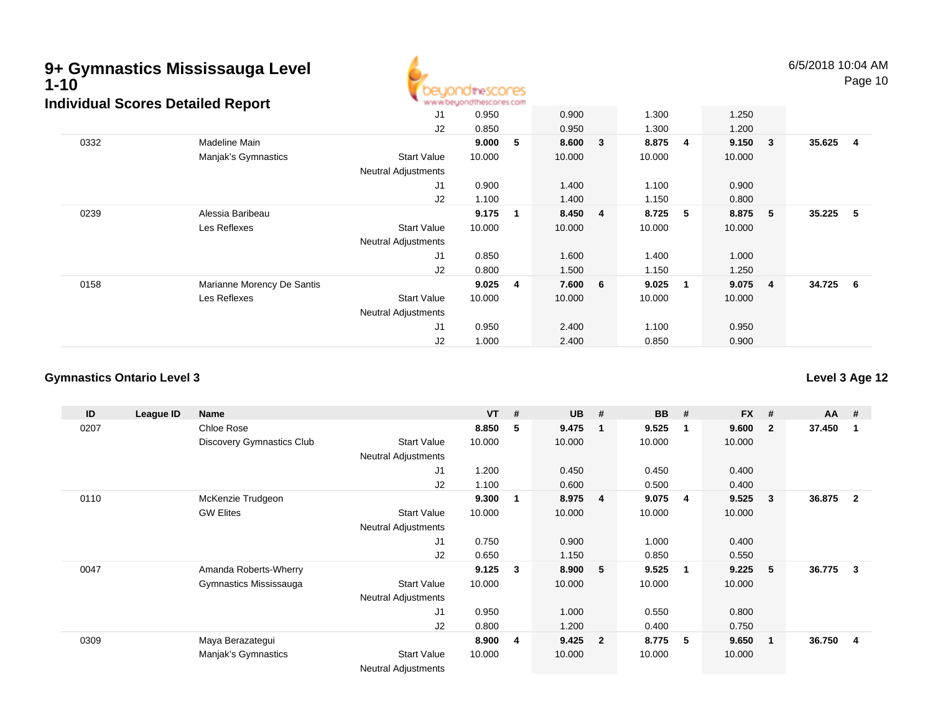# **9+ Gymnastics Mississauga Level1-10**



6/5/2018 10:04 AMPage 10

J1 0.950 0.900 1.300 1.250 J2 0.850 0.950 1.300 1.200 0332 Madeline Main **9.000 <sup>5</sup> 8.600 <sup>3</sup> 8.875 <sup>4</sup> 9.150 <sup>3</sup> 35.625 <sup>4</sup>** Manjak's Gymnastics Start Valuee 10.000 10.000 10.000 10.000 Neutral Adjustments J1 0.900 1.400 1.100 0.900 J2 1.100 1.400 1.150 0.800 0239 Alessia Baribeau **9.175 <sup>1</sup> 8.450 <sup>4</sup> 8.725 <sup>5</sup> 8.875 <sup>5</sup> 35.225 <sup>5</sup>** Les Reflexes Start Valuee 10.000 10.000 10.000 10.000 Neutral Adjustments J1 0.850 1.600 1.400 1.000 J2 0.800 1.500 1.150 1.250 0158 Marianne Morency De Santis **9.025 <sup>4</sup> 7.600 <sup>6</sup> 9.025 <sup>1</sup> 9.075 <sup>4</sup> 34.725 <sup>6</sup>** Les Reflexes Start Valuee 10.000 10.000 10.000 10.000 Neutral Adjustments J1 0.950 2.400 1.100 0.950 J2 1.000 2.400 0.850 0.900 **Individual Scores Detailed Report**

### **Gymnastics Ontario Level 3**

**ID League ID Name VT # UB # BB # FX # AA #** 0207 Chloe Rose **8.850 <sup>5</sup> 9.475 <sup>1</sup> 9.525 <sup>1</sup> 9.600 <sup>2</sup> 37.450 <sup>1</sup>** Discovery Gymnastics Club Start Value 10.000 10.000 10.000 10.000 Neutral Adjustments J1 1.200 0.450 0.450 0.400 J2 1.100 0.600 0.500 0.400 0110 McKenzie Trudgeon **9.300 <sup>1</sup> 8.975 <sup>4</sup> 9.075 <sup>4</sup> 9.525 <sup>3</sup> 36.875 <sup>2</sup>** GW Elites Start Valuee 10.000 10.000 10.000 10.000 Neutral Adjustments J1 0.750 0.900 1.000 0.400 J2 0.650 1.150 0.850 0.550 0047 Amanda Roberts-Wherry **9.125 <sup>3</sup> 8.900 <sup>5</sup> 9.525 <sup>1</sup> 9.225 <sup>5</sup> 36.775 <sup>3</sup>** Gymnastics Mississauga Start Value 10.000 10.000 10.000 10.000 Neutral Adjustments J1 0.950 1.000 0.550 0.800 J2 0.800 1.200 0.400 0.750 0309 Maya Berazategui **8.900 <sup>4</sup> 9.425 <sup>2</sup> 8.775 <sup>5</sup> 9.650 <sup>1</sup> 36.750 <sup>4</sup>** Manjak's Gymnastics Start Valuee 10.000 10.000 10.000 10.000

Neutral Adjustments

**Level 3 Age 12**